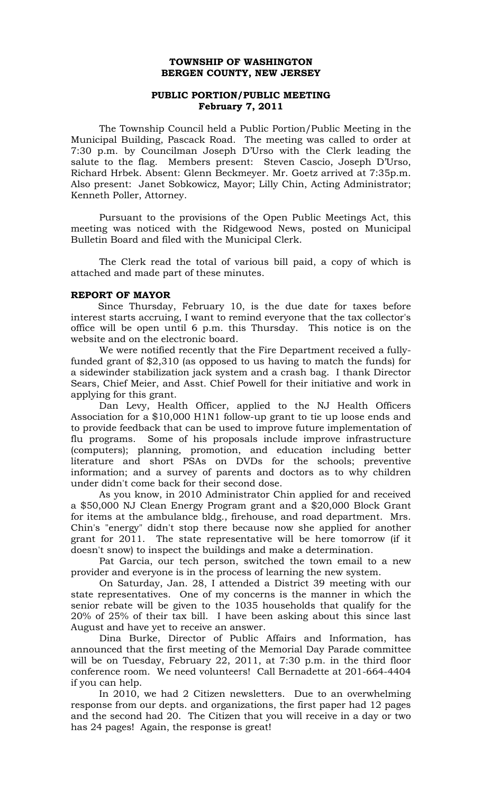## **TOWNSHIP OF WASHINGTON BERGEN COUNTY, NEW JERSEY**

# **PUBLIC PORTION/PUBLIC MEETING February 7, 2011**

The Township Council held a Public Portion/Public Meeting in the Municipal Building, Pascack Road. The meeting was called to order at 7:30 p.m. by Councilman Joseph D'Urso with the Clerk leading the salute to the flag. Members present: Steven Cascio, Joseph D'Urso, Richard Hrbek. Absent: Glenn Beckmeyer. Mr. Goetz arrived at 7:35p.m. Also present: Janet Sobkowicz, Mayor; Lilly Chin, Acting Administrator; Kenneth Poller, Attorney.

Pursuant to the provisions of the Open Public Meetings Act, this meeting was noticed with the Ridgewood News, posted on Municipal Bulletin Board and filed with the Municipal Clerk.

The Clerk read the total of various bill paid, a copy of which is attached and made part of these minutes.

## **REPORT OF MAYOR**

 Since Thursday, February 10, is the due date for taxes before interest starts accruing, I want to remind everyone that the tax collector's office will be open until 6 p.m. this Thursday. This notice is on the website and on the electronic board.

 We were notified recently that the Fire Department received a fullyfunded grant of \$2,310 (as opposed to us having to match the funds) for a sidewinder stabilization jack system and a crash bag. I thank Director Sears, Chief Meier, and Asst. Chief Powell for their initiative and work in applying for this grant.

 Dan Levy, Health Officer, applied to the NJ Health Officers Association for a \$10,000 H1N1 follow-up grant to tie up loose ends and to provide feedback that can be used to improve future implementation of flu programs. Some of his proposals include improve infrastructure (computers); planning, promotion, and education including better literature and short PSAs on DVDs for the schools; preventive information; and a survey of parents and doctors as to why children under didn't come back for their second dose.

 As you know, in 2010 Administrator Chin applied for and received a \$50,000 NJ Clean Energy Program grant and a \$20,000 Block Grant for items at the ambulance bldg., firehouse, and road department. Mrs. Chin's "energy" didn't stop there because now she applied for another grant for 2011. The state representative will be here tomorrow (if it doesn't snow) to inspect the buildings and make a determination.

 Pat Garcia, our tech person, switched the town email to a new provider and everyone is in the process of learning the new system.

 On Saturday, Jan. 28, I attended a District 39 meeting with our state representatives. One of my concerns is the manner in which the senior rebate will be given to the 1035 households that qualify for the 20% of 25% of their tax bill. I have been asking about this since last August and have yet to receive an answer.

 Dina Burke, Director of Public Affairs and Information, has announced that the first meeting of the Memorial Day Parade committee will be on Tuesday, February 22, 2011, at 7:30 p.m. in the third floor conference room. We need volunteers! Call Bernadette at 201-664-4404 if you can help.

 In 2010, we had 2 Citizen newsletters. Due to an overwhelming response from our depts. and organizations, the first paper had 12 pages and the second had 20. The Citizen that you will receive in a day or two has 24 pages! Again, the response is great!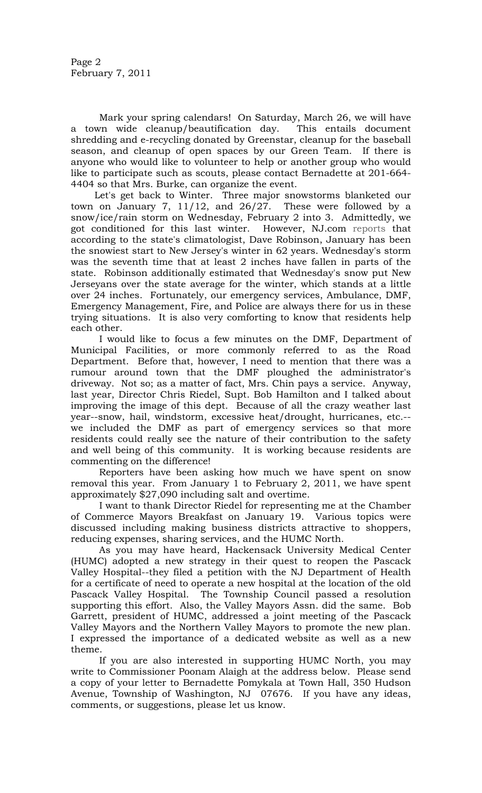Mark your spring calendars! On Saturday, March 26, we will have a town wide cleanup/beautification day. This entails document shredding and e-recycling donated by Greenstar, cleanup for the baseball season, and cleanup of open spaces by our Green Team. If there is anyone who would like to volunteer to help or another group who would like to participate such as scouts, please contact Bernadette at 201-664- 4404 so that Mrs. Burke, can organize the event.

 Let's get back to Winter. Three major snowstorms blanketed our town on January 7, 11/12, and 26/27. These were followed by a snow/ice/rain storm on Wednesday, February 2 into 3. Admittedly, we got conditioned for this last winter. However, NJ.com [reports](http://www.nj.com/news/index.ssf/2011/01/nj_snowstorm_estimated_to_top.html) that according to the state's climatologist, Dave Robinson, January has been the snowiest start to New Jersey's winter in 62 years. Wednesday's storm was the seventh time that at least 2 inches have fallen in parts of the state. Robinson additionally estimated that Wednesday's snow put New Jerseyans over the state average for the winter, which stands at a little over 24 inches. Fortunately, our emergency services, Ambulance, DMF, Emergency Management, Fire, and Police are always there for us in these trying situations. It is also very comforting to know that residents help each other.

 I would like to focus a few minutes on the DMF, Department of Municipal Facilities, or more commonly referred to as the Road Department. Before that, however, I need to mention that there was a rumour around town that the DMF ploughed the administrator's driveway. Not so; as a matter of fact, Mrs. Chin pays a service. Anyway, last year, Director Chris Riedel, Supt. Bob Hamilton and I talked about improving the image of this dept. Because of all the crazy weather last year--snow, hail, windstorm, excessive heat/drought, hurricanes, etc.- we included the DMF as part of emergency services so that more residents could really see the nature of their contribution to the safety and well being of this community. It is working because residents are commenting on the difference!

Reporters have been asking how much we have spent on snow removal this year. From January 1 to February 2, 2011, we have spent approximately \$27,090 including salt and overtime.

 I want to thank Director Riedel for representing me at the Chamber of Commerce Mayors Breakfast on January 19. Various topics were discussed including making business districts attractive to shoppers, reducing expenses, sharing services, and the HUMC North.

 As you may have heard, Hackensack University Medical Center (HUMC) adopted a new strategy in their quest to reopen the Pascack Valley Hospital--they filed a petition with the NJ Department of Health for a certificate of need to operate a new hospital at the location of the old Pascack Valley Hospital. The Township Council passed a resolution supporting this effort. Also, the Valley Mayors Assn. did the same. Bob Garrett, president of HUMC, addressed a joint meeting of the Pascack Valley Mayors and the Northern Valley Mayors to promote the new plan. I expressed the importance of a dedicated website as well as a new theme.

 If you are also interested in supporting HUMC North, you may write to Commissioner Poonam Alaigh at the address below. Please send a copy of your letter to Bernadette Pomykala at Town Hall, 350 Hudson Avenue, Township of Washington, NJ 07676. If you have any ideas, comments, or suggestions, please let us know.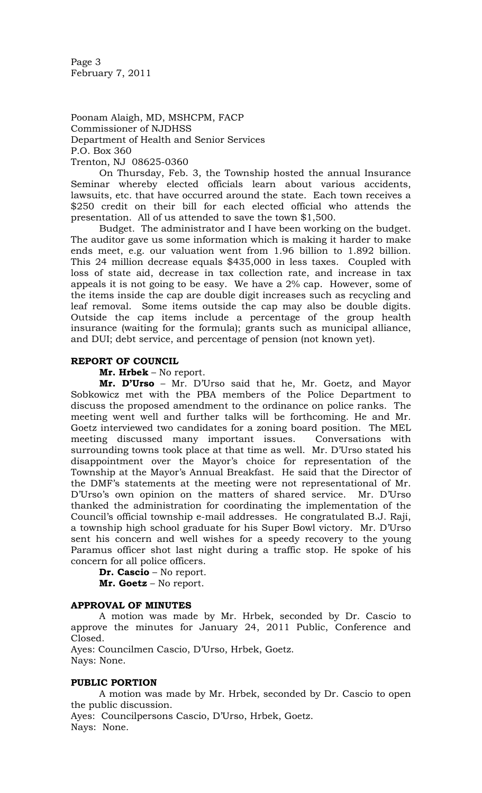Page 3 February 7, 2011

Poonam Alaigh, MD, MSHCPM, FACP Commissioner of NJDHSS Department of Health and Senior Services P.O. Box 360 Trenton, NJ 08625-0360

 On Thursday, Feb. 3, the Township hosted the annual Insurance Seminar whereby elected officials learn about various accidents, lawsuits, etc. that have occurred around the state. Each town receives a \$250 credit on their bill for each elected official who attends the presentation. All of us attended to save the town \$1,500.

 Budget. The administrator and I have been working on the budget. The auditor gave us some information which is making it harder to make ends meet, e.g. our valuation went from 1.96 billion to 1.892 billion. This 24 million decrease equals \$435,000 in less taxes. Coupled with loss of state aid, decrease in tax collection rate, and increase in tax appeals it is not going to be easy. We have a 2% cap. However, some of the items inside the cap are double digit increases such as recycling and leaf removal. Some items outside the cap may also be double digits. Outside the cap items include a percentage of the group health insurance (waiting for the formula); grants such as municipal alliance, and DUI; debt service, and percentage of pension (not known yet).

### **REPORT OF COUNCIL**

**Mr. Hrbek** – No report.

**Mr. D'Urso** – Mr. D'Urso said that he, Mr. Goetz, and Mayor Sobkowicz met with the PBA members of the Police Department to discuss the proposed amendment to the ordinance on police ranks. The meeting went well and further talks will be forthcoming. He and Mr. Goetz interviewed two candidates for a zoning board position. The MEL meeting discussed many important issues. Conversations with surrounding towns took place at that time as well. Mr. D'Urso stated his disappointment over the Mayor's choice for representation of the Township at the Mayor's Annual Breakfast. He said that the Director of the DMF's statements at the meeting were not representational of Mr. D'Urso's own opinion on the matters of shared service. Mr. D'Urso thanked the administration for coordinating the implementation of the Council's official township e-mail addresses. He congratulated B.J. Raji, a township high school graduate for his Super Bowl victory. Mr. D'Urso sent his concern and well wishes for a speedy recovery to the young Paramus officer shot last night during a traffic stop. He spoke of his concern for all police officers.

**Dr. Cascio** – No report.

**Mr. Goetz** – No report.

#### **APPROVAL OF MINUTES**

A motion was made by Mr. Hrbek, seconded by Dr. Cascio to approve the minutes for January 24, 2011 Public, Conference and Closed.

Ayes: Councilmen Cascio, D'Urso, Hrbek, Goetz. Nays: None.

## **PUBLIC PORTION**

A motion was made by Mr. Hrbek, seconded by Dr. Cascio to open the public discussion.

Ayes: Councilpersons Cascio, D'Urso, Hrbek, Goetz. Nays: None.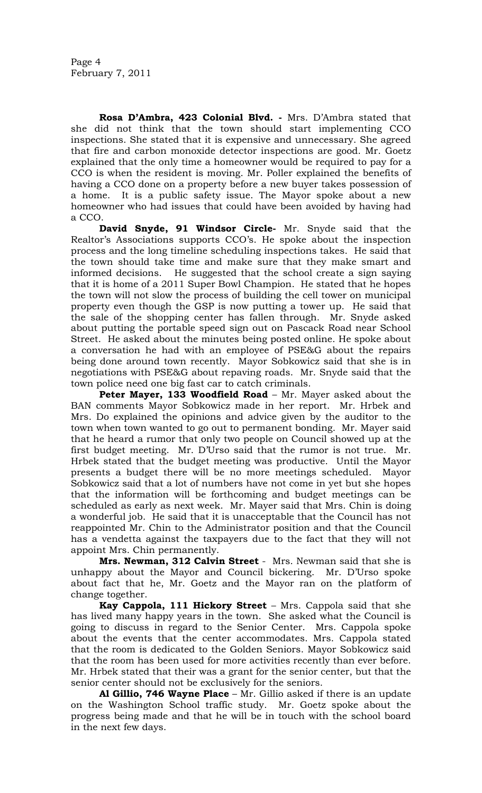**Rosa D'Ambra, 423 Colonial Blvd. -** Mrs. D'Ambra stated that she did not think that the town should start implementing CCO inspections. She stated that it is expensive and unnecessary. She agreed that fire and carbon monoxide detector inspections are good. Mr. Goetz explained that the only time a homeowner would be required to pay for a CCO is when the resident is moving. Mr. Poller explained the benefits of having a CCO done on a property before a new buyer takes possession of a home. It is a public safety issue. The Mayor spoke about a new homeowner who had issues that could have been avoided by having had a CCO.

**David Snyde, 91 Windsor Circle-** Mr. Snyde said that the Realtor's Associations supports CCO's. He spoke about the inspection process and the long timeline scheduling inspections takes. He said that the town should take time and make sure that they make smart and informed decisions. He suggested that the school create a sign saying that it is home of a 2011 Super Bowl Champion. He stated that he hopes the town will not slow the process of building the cell tower on municipal property even though the GSP is now putting a tower up. He said that the sale of the shopping center has fallen through. Mr. Snyde asked about putting the portable speed sign out on Pascack Road near School Street. He asked about the minutes being posted online. He spoke about a conversation he had with an employee of PSE&G about the repairs being done around town recently. Mayor Sobkowicz said that she is in negotiations with PSE&G about repaving roads. Mr. Snyde said that the town police need one big fast car to catch criminals.

**Peter Mayer, 133 Woodfield Road** – Mr. Mayer asked about the BAN comments Mayor Sobkowicz made in her report. Mr. Hrbek and Mrs. Do explained the opinions and advice given by the auditor to the town when town wanted to go out to permanent bonding. Mr. Mayer said that he heard a rumor that only two people on Council showed up at the first budget meeting. Mr. D'Urso said that the rumor is not true. Mr. Hrbek stated that the budget meeting was productive. Until the Mayor presents a budget there will be no more meetings scheduled. Mayor Sobkowicz said that a lot of numbers have not come in yet but she hopes that the information will be forthcoming and budget meetings can be scheduled as early as next week. Mr. Mayer said that Mrs. Chin is doing a wonderful job. He said that it is unacceptable that the Council has not reappointed Mr. Chin to the Administrator position and that the Council has a vendetta against the taxpayers due to the fact that they will not appoint Mrs. Chin permanently.

**Mrs. Newman, 312 Calvin Street** - Mrs. Newman said that she is unhappy about the Mayor and Council bickering. Mr. D'Urso spoke about fact that he, Mr. Goetz and the Mayor ran on the platform of change together.

**Kay Cappola, 111 Hickory Street** – Mrs. Cappola said that she has lived many happy years in the town. She asked what the Council is going to discuss in regard to the Senior Center. Mrs. Cappola spoke about the events that the center accommodates. Mrs. Cappola stated that the room is dedicated to the Golden Seniors. Mayor Sobkowicz said that the room has been used for more activities recently than ever before. Mr. Hrbek stated that their was a grant for the senior center, but that the senior center should not be exclusively for the seniors.

**Al Gillio, 746 Wayne Place** – Mr. Gillio asked if there is an update on the Washington School traffic study. Mr. Goetz spoke about the progress being made and that he will be in touch with the school board in the next few days.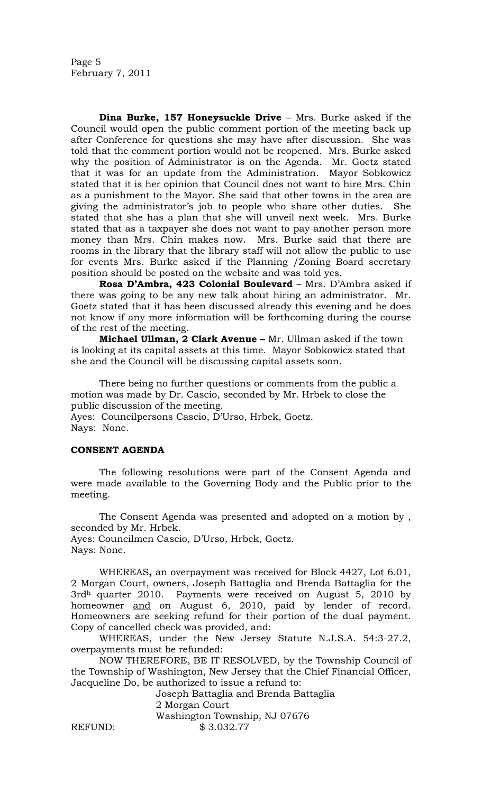Page 5 February 7, 2011

**Dina Burke, 157 Honeysuckle Drive** – Mrs. Burke asked if the Council would open the public comment portion of the meeting back up after Conference for questions she may have after discussion. She was told that the comment portion would not be reopened. Mrs. Burke asked why the position of Administrator is on the Agenda. Mr. Goetz stated that it was for an update from the Administration. Mayor Sobkowicz stated that it is her opinion that Council does not want to hire Mrs. Chin as a punishment to the Mayor. She said that other towns in the area are giving the administrator's job to people who share other duties. She stated that she has a plan that she will unveil next week. Mrs. Burke stated that as a taxpayer she does not want to pay another person more money than Mrs. Chin makes now. Mrs. Burke said that there are rooms in the library that the library staff will not allow the public to use for events Mrs. Burke asked if the Planning /Zoning Board secretary position should be posted on the website and was told yes.

**Rosa D'Ambra, 423 Colonial Boulevard** – Mrs. D'Ambra asked if there was going to be any new talk about hiring an administrator. Mr. Goetz stated that it has been discussed already this evening and he does not know if any more information will be forthcoming during the course of the rest of the meeting.

**Michael Ullman, 2 Clark Avenue –** Mr. Ullman asked if the town is looking at its capital assets at this time. Mayor Sobkowicz stated that she and the Council will be discussing capital assets soon.

There being no further questions or comments from the public a motion was made by Dr. Cascio, seconded by Mr. Hrbek to close the public discussion of the meeting.

Ayes: Councilpersons Cascio, D'Urso, Hrbek, Goetz. Nays: None.

# **CONSENT AGENDA**

The following resolutions were part of the Consent Agenda and were made available to the Governing Body and the Public prior to the meeting.

The Consent Agenda was presented and adopted on a motion by , seconded by Mr. Hrbek. Ayes: Councilmen Cascio, D'Urso, Hrbek, Goetz. Nays: None.

WHEREAS**,** an overpayment was received for Block 4427, Lot 6.01, 2 Morgan Court, owners, Joseph Battaglia and Brenda Battaglia for the 3rdh quarter 2010. Payments were received on August 5, 2010 by homeowner and on August 6, 2010, paid by lender of record. Homeowners are seeking refund for their portion of the dual payment. Copy of cancelled check was provided, and:

WHEREAS, under the New Jersey Statute N.J.S.A. 54:3-27.2, overpayments must be refunded:

NOW THEREFORE, BE IT RESOLVED, by the Township Council of the Township of Washington, New Jersey that the Chief Financial Officer, Jacqueline Do, be authorized to issue a refund to:

Joseph Battaglia and Brenda Battaglia 2 Morgan Court Washington Township, NJ 07676 REFUND: \$3.032.77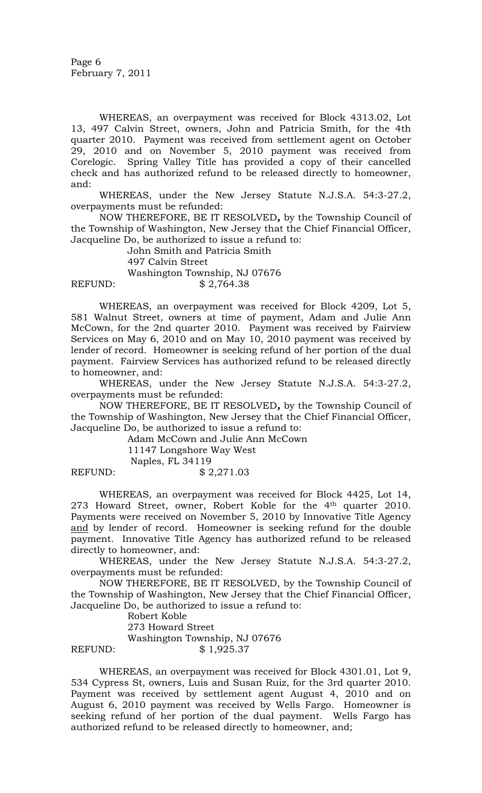Page 6 February 7, 2011

WHEREAS, an overpayment was received for Block 4313.02, Lot 13, 497 Calvin Street, owners, John and Patricia Smith, for the 4th quarter 2010. Payment was received from settlement agent on October 29, 2010 and on November 5, 2010 payment was received from Corelogic. Spring Valley Title has provided a copy of their cancelled check and has authorized refund to be released directly to homeowner, and:

WHEREAS, under the New Jersey Statute N.J.S.A. 54:3-27.2, overpayments must be refunded:

NOW THEREFORE, BE IT RESOLVED*,* by the Township Council of the Township of Washington, New Jersey that the Chief Financial Officer, Jacqueline Do, be authorized to issue a refund to:

John Smith and Patricia Smith

497 Calvin Street

 Washington Township, NJ 07676 REFUND: \$2,764.38

WHEREAS, an overpayment was received for Block 4209, Lot 5, 581 Walnut Street, owners at time of payment, Adam and Julie Ann McCown, for the 2nd quarter 2010. Payment was received by Fairview Services on May 6, 2010 and on May 10, 2010 payment was received by lender of record. Homeowner is seeking refund of her portion of the dual

payment. Fairview Services has authorized refund to be released directly to homeowner, and: WHEREAS, under the New Jersey Statute N.J.S.A. 54:3-27.2,

overpayments must be refunded: NOW THEREFORE, BE IT RESOLVED*,* by the Township Council of

the Township of Washington, New Jersey that the Chief Financial Officer, Jacqueline Do, be authorized to issue a refund to:

Adam McCown and Julie Ann McCown

11147 Longshore Way West

Naples, FL 34119

REFUND: \$2,271.03

WHEREAS, an overpayment was received for Block 4425, Lot 14, 273 Howard Street, owner, Robert Koble for the 4th quarter 2010. Payments were received on November 5, 2010 by Innovative Title Agency and by lender of record. Homeowner is seeking refund for the double payment. Innovative Title Agency has authorized refund to be released directly to homeowner, and:

WHEREAS, under the New Jersey Statute N.J.S.A. 54:3-27.2, overpayments must be refunded:

NOW THEREFORE, BE IT RESOLVED, by the Township Council of the Township of Washington, New Jersey that the Chief Financial Officer, Jacqueline Do, be authorized to issue a refund to:

Robert Koble

273 Howard Street Washington Township, NJ 07676 REFUND: \$ 1,925.37

WHEREAS, an overpayment was received for Block 4301.01, Lot 9, 534 Cypress St, owners, Luis and Susan Ruiz, for the 3rd quarter 2010. Payment was received by settlement agent August 4, 2010 and on August 6, 2010 payment was received by Wells Fargo. Homeowner is seeking refund of her portion of the dual payment. Wells Fargo has authorized refund to be released directly to homeowner, and;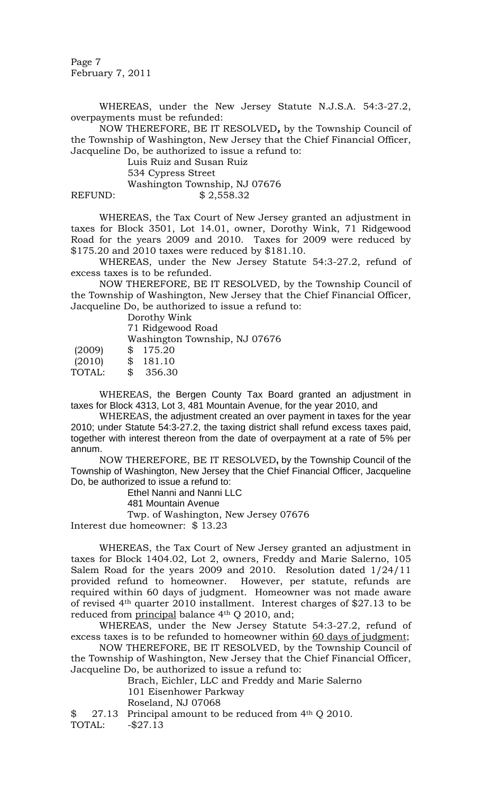Page 7 February 7, 2011

WHEREAS, under the New Jersey Statute N.J.S.A. 54:3-27.2, overpayments must be refunded:

NOW THEREFORE, BE IT RESOLVED*,* by the Township Council of the Township of Washington, New Jersey that the Chief Financial Officer, Jacqueline Do, be authorized to issue a refund to:

Luis Ruiz and Susan Ruiz 534 Cypress Street Washington Township, NJ 07676 REFUND: \$2,558.32

WHEREAS, the Tax Court of New Jersey granted an adjustment in taxes for Block 3501, Lot 14.01, owner, Dorothy Wink, 71 Ridgewood Road for the years 2009 and 2010. Taxes for 2009 were reduced by \$175.20 and 2010 taxes were reduced by \$181.10.

WHEREAS, under the New Jersey Statute 54:3-27.2, refund of excess taxes is to be refunded.

NOW THEREFORE, BE IT RESOLVED, by the Township Council of the Township of Washington, New Jersey that the Chief Financial Officer, Jacqueline Do, be authorized to issue a refund to:

Dorothy Wink

71 Ridgewood Road Washington Township, NJ 07676 (2009) \$ 175.20 (2010) \$ 181.10

TOTAL: \$ 356.30

WHEREAS, the Bergen County Tax Board granted an adjustment in taxes for Block 4313, Lot 3, 481 Mountain Avenue, for the year 2010, and

WHEREAS, the adjustment created an over payment in taxes for the year 2010; under Statute 54:3-27.2, the taxing district shall refund excess taxes paid, together with interest thereon from the date of overpayment at a rate of 5% per annum.

NOW THEREFORE, BE IT RESOLVED**,** by the Township Council of the Township of Washington, New Jersey that the Chief Financial Officer, Jacqueline Do, be authorized to issue a refund to:

Ethel Nanni and Nanni LLC

481 Mountain Avenue

Twp. of Washington, New Jersey 07676 Interest due homeowner: \$ 13.23

WHEREAS, the Tax Court of New Jersey granted an adjustment in taxes for Block 1404.02, Lot 2, owners, Freddy and Marie Salerno, 105 Salem Road for the years 2009 and 2010. Resolution dated 1/24/11 provided refund to homeowner. However, per statute, refunds are required within 60 days of judgment. Homeowner was not made aware of revised 4th quarter 2010 installment. Interest charges of \$27.13 to be reduced from principal balance 4<sup>th</sup> Q 2010, and;

WHEREAS, under the New Jersey Statute 54:3-27.2, refund of excess taxes is to be refunded to homeowner within 60 days of judgment;

NOW THEREFORE, BE IT RESOLVED, by the Township Council of the Township of Washington, New Jersey that the Chief Financial Officer, Jacqueline Do, be authorized to issue a refund to:

Brach, Eichler, LLC and Freddy and Marie Salerno 101 Eisenhower Parkway

Roseland, NJ 07068

 $$ 27.13$  Principal amount to be reduced from 4<sup>th</sup> Q 2010.

TOTAL: -\$27.13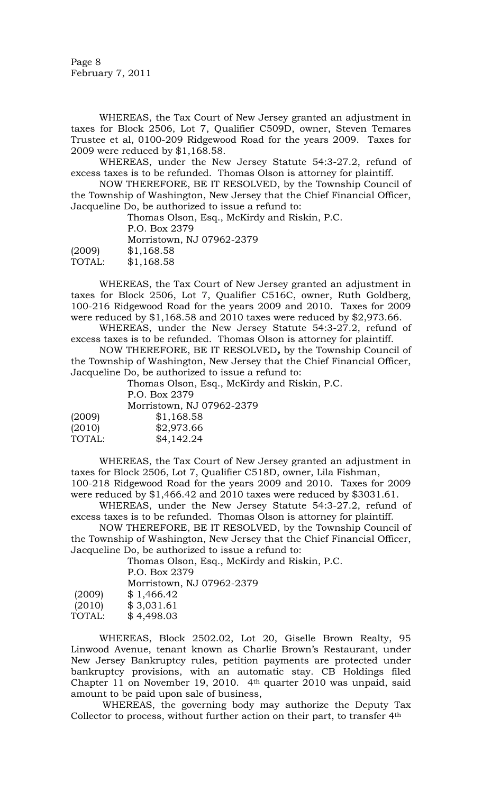Page 8 February 7, 2011

WHEREAS, the Tax Court of New Jersey granted an adjustment in taxes for Block 2506, Lot 7, Qualifier C509D, owner, Steven Temares Trustee et al, 0100-209 Ridgewood Road for the years 2009. Taxes for 2009 were reduced by \$1,168.58.

WHEREAS, under the New Jersey Statute 54:3-27.2, refund of excess taxes is to be refunded. Thomas Olson is attorney for plaintiff.

NOW THEREFORE, BE IT RESOLVED, by the Township Council of the Township of Washington, New Jersey that the Chief Financial Officer, Jacqueline Do, be authorized to issue a refund to:

Thomas Olson, Esq., McKirdy and Riskin, P.C. P.O. Box 2379 Morristown, NJ 07962-2379 (2009) \$1,168.58 TOTAL: \$1,168.58

WHEREAS, the Tax Court of New Jersey granted an adjustment in taxes for Block 2506, Lot 7, Qualifier C516C, owner, Ruth Goldberg, 100-216 Ridgewood Road for the years 2009 and 2010. Taxes for 2009 were reduced by \$1,168.58 and 2010 taxes were reduced by \$2,973.66.

WHEREAS, under the New Jersey Statute 54:3-27.2, refund of excess taxes is to be refunded. Thomas Olson is attorney for plaintiff.

NOW THEREFORE, BE IT RESOLVED*,* by the Township Council of the Township of Washington, New Jersey that the Chief Financial Officer, Jacqueline Do, be authorized to issue a refund to:

Thomas Olson, Esq., McKirdy and Riskin, P.C. P.O. Box 2379 Morristown, NJ 07962-2379 (2009) \$1,168.58

| $\cdots$ $\cdots$ | .          |
|-------------------|------------|
| (2010)            | \$2,973.66 |
| TOTAL:            | \$4,142.24 |

WHEREAS, the Tax Court of New Jersey granted an adjustment in taxes for Block 2506, Lot 7, Qualifier C518D, owner, Lila Fishman, 100-218 Ridgewood Road for the years 2009 and 2010. Taxes for 2009

were reduced by \$1,466.42 and 2010 taxes were reduced by \$3031.61. WHEREAS, under the New Jersey Statute 54:3-27.2, refund of excess taxes is to be refunded. Thomas Olson is attorney for plaintiff.

NOW THEREFORE, BE IT RESOLVED, by the Township Council of the Township of Washington, New Jersey that the Chief Financial Officer, Jacqueline Do, be authorized to issue a refund to:

Thomas Olson, Esq., McKirdy and Riskin, P.C. P.O. Box 2379 Morristown, NJ 07962-2379 (2009) \$ 1,466.42 (2010) \$ 3,031.61 TOTAL: \$ 4,498.03

WHEREAS, Block 2502.02, Lot 20, Giselle Brown Realty, 95 Linwood Avenue, tenant known as Charlie Brown's Restaurant, under New Jersey Bankruptcy rules, petition payments are protected under bankruptcy provisions, with an automatic stay. CB Holdings filed Chapter 11 on November 19, 2010. 4th quarter 2010 was unpaid, said amount to be paid upon sale of business,

WHEREAS, the governing body may authorize the Deputy Tax Collector to process, without further action on their part, to transfer 4th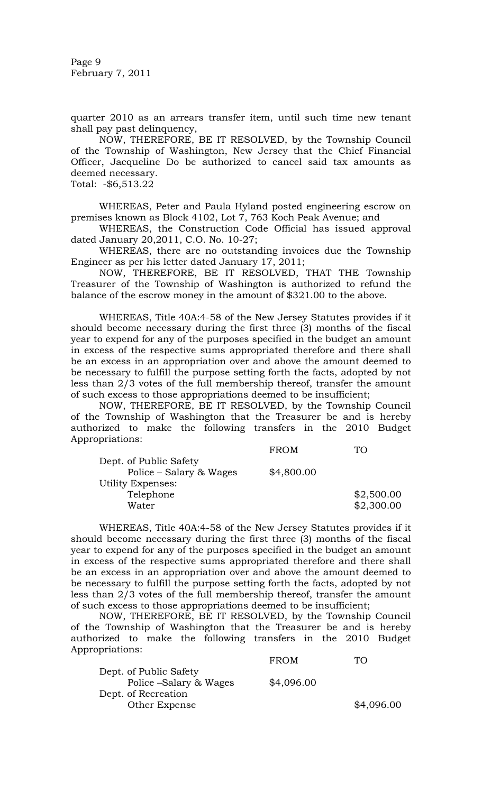Page 9 February 7, 2011

quarter 2010 as an arrears transfer item, until such time new tenant shall pay past delinquency,

NOW, THEREFORE, BE IT RESOLVED, by the Township Council of the Township of Washington, New Jersey that the Chief Financial Officer, Jacqueline Do be authorized to cancel said tax amounts as deemed necessary.

Total: -\$6,513.22

 WHEREAS, Peter and Paula Hyland posted engineering escrow on premises known as Block 4102, Lot 7, 763 Koch Peak Avenue; and

WHEREAS, the Construction Code Official has issued approval dated January 20,2011, C.O. No. 10-27;

WHEREAS, there are no outstanding invoices due the Township Engineer as per his letter dated January 17, 2011;

NOW, THEREFORE, BE IT RESOLVED, THAT THE Township Treasurer of the Township of Washington is authorized to refund the balance of the escrow money in the amount of \$321.00 to the above.

WHEREAS, Title 40A:4-58 of the New Jersey Statutes provides if it should become necessary during the first three (3) months of the fiscal year to expend for any of the purposes specified in the budget an amount in excess of the respective sums appropriated therefore and there shall be an excess in an appropriation over and above the amount deemed to be necessary to fulfill the purpose setting forth the facts, adopted by not less than 2/3 votes of the full membership thereof, transfer the amount of such excess to those appropriations deemed to be insufficient;

 NOW, THEREFORE, BE IT RESOLVED, by the Township Council of the Township of Washington that the Treasurer be and is hereby authorized to make the following transfers in the 2010 Budget Appropriations:

|                         | <b>FROM</b> |            |
|-------------------------|-------------|------------|
| Dept. of Public Safety  |             |            |
| Police – Salary & Wages | \$4,800.00  |            |
| Utility Expenses:       |             |            |
| Telephone               |             | \$2,500.00 |
| Water                   |             | \$2,300.00 |

WHEREAS, Title 40A:4-58 of the New Jersey Statutes provides if it should become necessary during the first three (3) months of the fiscal year to expend for any of the purposes specified in the budget an amount in excess of the respective sums appropriated therefore and there shall be an excess in an appropriation over and above the amount deemed to be necessary to fulfill the purpose setting forth the facts, adopted by not less than 2/3 votes of the full membership thereof, transfer the amount of such excess to those appropriations deemed to be insufficient;

 NOW, THEREFORE, BE IT RESOLVED, by the Township Council of the Township of Washington that the Treasurer be and is hereby authorized to make the following transfers in the 2010 Budget Appropriations:

| <b>FROM</b> | TΩ         |
|-------------|------------|
|             |            |
| \$4,096.00  |            |
|             |            |
|             | \$4,096.00 |
|             |            |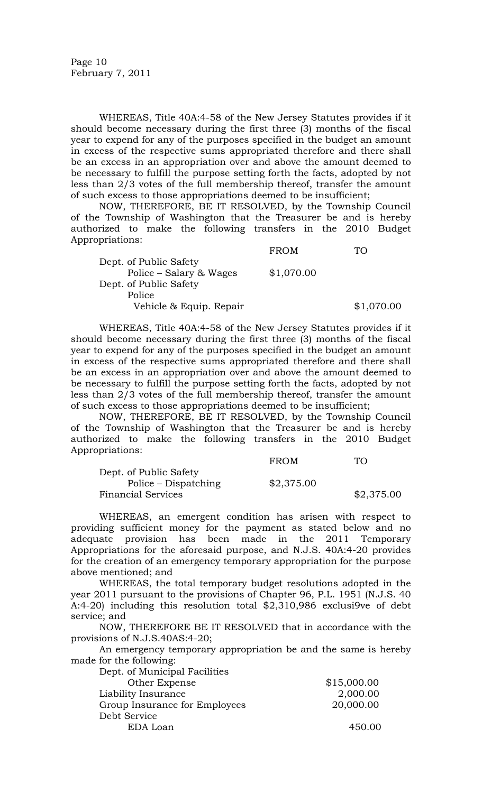WHEREAS, Title 40A:4-58 of the New Jersey Statutes provides if it should become necessary during the first three (3) months of the fiscal year to expend for any of the purposes specified in the budget an amount in excess of the respective sums appropriated therefore and there shall be an excess in an appropriation over and above the amount deemed to be necessary to fulfill the purpose setting forth the facts, adopted by not less than 2/3 votes of the full membership thereof, transfer the amount of such excess to those appropriations deemed to be insufficient;

 NOW, THEREFORE, BE IT RESOLVED, by the Township Council of the Township of Washington that the Treasurer be and is hereby authorized to make the following transfers in the 2010 Budget Appropriations:

|                         | <b>FROM</b> |            |
|-------------------------|-------------|------------|
| Dept. of Public Safety  |             |            |
| Police – Salary & Wages | \$1,070.00  |            |
| Dept. of Public Safety  |             |            |
| Police                  |             |            |
| Vehicle & Equip. Repair |             | \$1,070.00 |

WHEREAS, Title 40A:4-58 of the New Jersey Statutes provides if it should become necessary during the first three (3) months of the fiscal year to expend for any of the purposes specified in the budget an amount in excess of the respective sums appropriated therefore and there shall be an excess in an appropriation over and above the amount deemed to be necessary to fulfill the purpose setting forth the facts, adopted by not less than 2/3 votes of the full membership thereof, transfer the amount of such excess to those appropriations deemed to be insufficient;

 NOW, THEREFORE, BE IT RESOLVED, by the Township Council of the Township of Washington that the Treasurer be and is hereby authorized to make the following transfers in the 2010 Budget Appropriations:

|                           | <b>FROM</b> | TO.        |
|---------------------------|-------------|------------|
| Dept. of Public Safety    |             |            |
| Police – Dispatching      | \$2,375.00  |            |
| <b>Financial Services</b> |             | \$2,375.00 |

 WHEREAS, an emergent condition has arisen with respect to providing sufficient money for the payment as stated below and no adequate provision has been made in the 2011 Temporary Appropriations for the aforesaid purpose, and N.J.S. 40A:4-20 provides for the creation of an emergency temporary appropriation for the purpose above mentioned; and

 WHEREAS, the total temporary budget resolutions adopted in the year 2011 pursuant to the provisions of Chapter 96, P.L. 1951 (N.J.S. 40 A:4-20) including this resolution total \$2,310,986 exclusi9ve of debt service; and

 NOW, THEREFORE BE IT RESOLVED that in accordance with the provisions of N.J.S.40AS:4-20;

 An emergency temporary appropriation be and the same is hereby made for the following:

| Dept. of Municipal Facilities |             |
|-------------------------------|-------------|
| Other Expense                 | \$15,000.00 |
| Liability Insurance           | 2,000.00    |
| Group Insurance for Employees | 20,000.00   |
| Debt Service                  |             |
| EDA Loan                      | 450.00      |